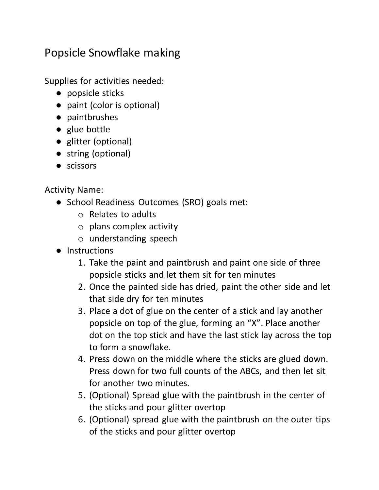## Popsicle Snowflake making

Supplies for activities needed:

- popsicle sticks
- paint (color is optional)
- paintbrushes
- glue bottle
- glitter (optional)
- string (optional)
- scissors

Activity Name:

- School Readiness Outcomes (SRO) goals met:
	- o Relates to adults
	- o plans complex activity
	- o understanding speech
- Instructions
	- 1. Take the paint and paintbrush and paint one side of three popsicle sticks and let them sit for ten minutes
	- 2. Once the painted side has dried, paint the other side and let that side dry for ten minutes
	- 3. Place a dot of glue on the center of a stick and lay another popsicle on top of the glue, forming an "X". Place another dot on the top stick and have the last stick lay across the top to form a snowflake.
	- 4. Press down on the middle where the sticks are glued down. Press down for two full counts of the ABCs, and then let sit for another two minutes.
	- 5. (Optional) Spread glue with the paintbrush in the center of the sticks and pour glitter overtop
	- 6. (Optional) spread glue with the paintbrush on the outer tips of the sticks and pour glitter overtop